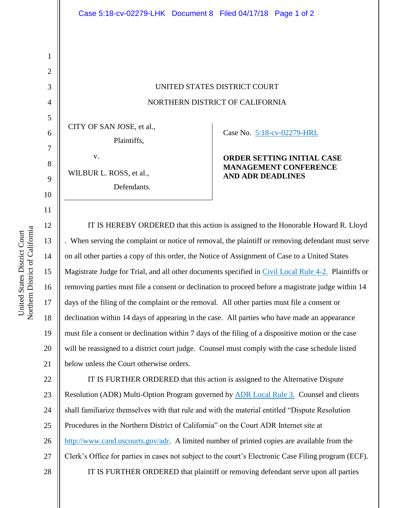## UNITED STATES DISTRICT COURT NORTHERN DISTRICT OF CALIFORNIA

CITY OF SAN JOSE, et al., Plaintiffs,

WILBUR L. ROSS, et al.,

Defendants.

v.

Case No. [5:18-cv-02279-HRL](https://ecf.cand.uscourts.gov/cgi-bin/DktRpt.pl?325391) 

| <b>ORDER SETTING INITIAL CASE</b> |
|-----------------------------------|
| <b>MANAGEMENT CONFERENCE</b>      |
| AND ADR DEADLINES                 |

IT IS HEREBY ORDERED that this action is assigned to the Honorable Howard R. Lloyd . When serving the complaint or notice of removal, the plaintiff or removing defendant must serve on all other parties a copy of this order, the Notice of Assignment of Case to a United States Magistrate Judge for Trial, and all other documents specified in [Civil Local Rule 4-2.](http://www.cand.uscourts.gov/localrules/civil) Plaintiffs or removing parties must file a consent or declination to proceed before a magistrate judge within 14 days of the filing of the complaint or the removal. All other parties must file a consent or declination within 14 days of appearing in the case. All parties who have made an appearance must file a consent or declination within 7 days of the filing of a dispositive motion or the case will be reassigned to a district court judge. Counsel must comply with the case schedule listed below unless the Court otherwise orders.

22 23 24 25 26 27 28 IT IS FURTHER ORDERED that this action is assigned to the Alternative Dispute Resolution (ADR) Multi-Option Program governed by [ADR Local Rule 3.](http://www.cand.uscourts.gov/localrules/ADR) Counsel and clients shall familiarize themselves with that rule and with the material entitled "Dispute Resolution Procedures in the Northern District of California" on the Court ADR Internet site at [http://www.cand.uscourts.gov/adr.](http://www.cand.uscourts.gov/adr) A limited number of printed copies are available from the Clerk's Office for parties in cases not subject to the court's Electronic Case Filing program (ECF). IT IS FURTHER ORDERED that plaintiff or removing defendant serve upon all parties

1

2

3

4

5

6

7

8

9

10

11

12

13

14

15

16

17

18

19

20

21